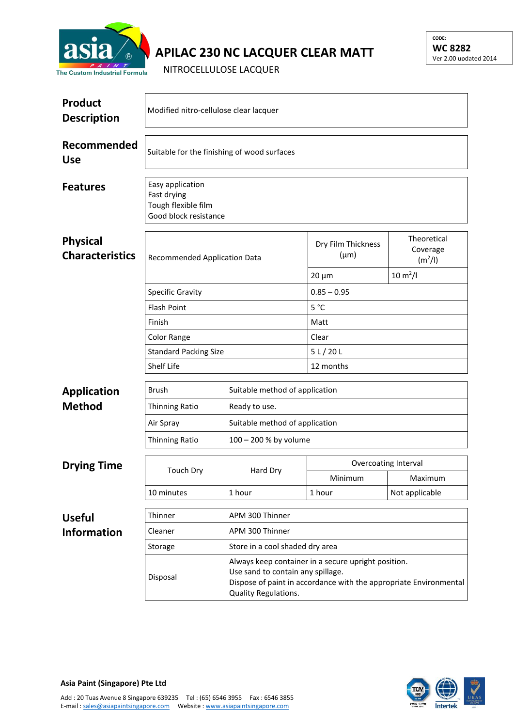

## **APILAC 230 NC LACQUER CLEAR MATT**

NITROCELLULOSE LACQUER

| <b>Product</b><br><b>Description</b>      | Modified nitro-cellulose clear lacquer                                          |                                                                                                                                                                                       |                                 |                                                |  |  |
|-------------------------------------------|---------------------------------------------------------------------------------|---------------------------------------------------------------------------------------------------------------------------------------------------------------------------------------|---------------------------------|------------------------------------------------|--|--|
| Recommended<br><b>Use</b>                 | Suitable for the finishing of wood surfaces                                     |                                                                                                                                                                                       |                                 |                                                |  |  |
| <b>Features</b>                           | Easy application<br>Fast drying<br>Tough flexible film<br>Good block resistance |                                                                                                                                                                                       |                                 |                                                |  |  |
| <b>Physical</b><br><b>Characteristics</b> | Recommended Application Data<br><b>Specific Gravity</b>                         |                                                                                                                                                                                       | Dry Film Thickness<br>$(\mu m)$ | Theoretical<br>Coverage<br>(m <sup>2</sup> /I) |  |  |
|                                           |                                                                                 |                                                                                                                                                                                       | $20 \mu m$                      | $10 \, \text{m}^2$ /l                          |  |  |
|                                           |                                                                                 |                                                                                                                                                                                       | $0.85 - 0.95$                   |                                                |  |  |
|                                           | <b>Flash Point</b>                                                              |                                                                                                                                                                                       | 5 °C                            |                                                |  |  |
|                                           | Finish                                                                          |                                                                                                                                                                                       | Matt                            |                                                |  |  |
|                                           | Color Range                                                                     |                                                                                                                                                                                       | Clear                           |                                                |  |  |
|                                           | <b>Standard Packing Size</b>                                                    |                                                                                                                                                                                       | 5 L / 20 L                      |                                                |  |  |
|                                           | Shelf Life                                                                      |                                                                                                                                                                                       | 12 months                       |                                                |  |  |
| <b>Application</b>                        | <b>Brush</b>                                                                    | Suitable method of application                                                                                                                                                        |                                 |                                                |  |  |
| <b>Method</b>                             | <b>Thinning Ratio</b>                                                           | Ready to use.                                                                                                                                                                         |                                 |                                                |  |  |
|                                           | Air Spray                                                                       | Suitable method of application                                                                                                                                                        |                                 |                                                |  |  |
|                                           | <b>Thinning Ratio</b>                                                           | 100 - 200 % by volume                                                                                                                                                                 |                                 |                                                |  |  |
|                                           |                                                                                 | Hard Dry                                                                                                                                                                              | Overcoating Interval            |                                                |  |  |
| <b>Drying Time</b>                        | Touch Dry                                                                       |                                                                                                                                                                                       | Minimum                         | Maximum                                        |  |  |
|                                           | 10 minutes                                                                      | 1 hour                                                                                                                                                                                | 1 hour                          | Not applicable                                 |  |  |
| <b>Useful</b>                             | Thinner                                                                         | APM 300 Thinner                                                                                                                                                                       |                                 |                                                |  |  |
| <b>Information</b>                        | Cleaner<br>APM 300 Thinner                                                      |                                                                                                                                                                                       |                                 |                                                |  |  |
|                                           | Storage                                                                         | Store in a cool shaded dry area                                                                                                                                                       |                                 |                                                |  |  |
|                                           | Disposal                                                                        | Always keep container in a secure upright position.<br>Use sand to contain any spillage.<br>Dispose of paint in accordance with the appropriate Environmental<br>Quality Regulations. |                                 |                                                |  |  |